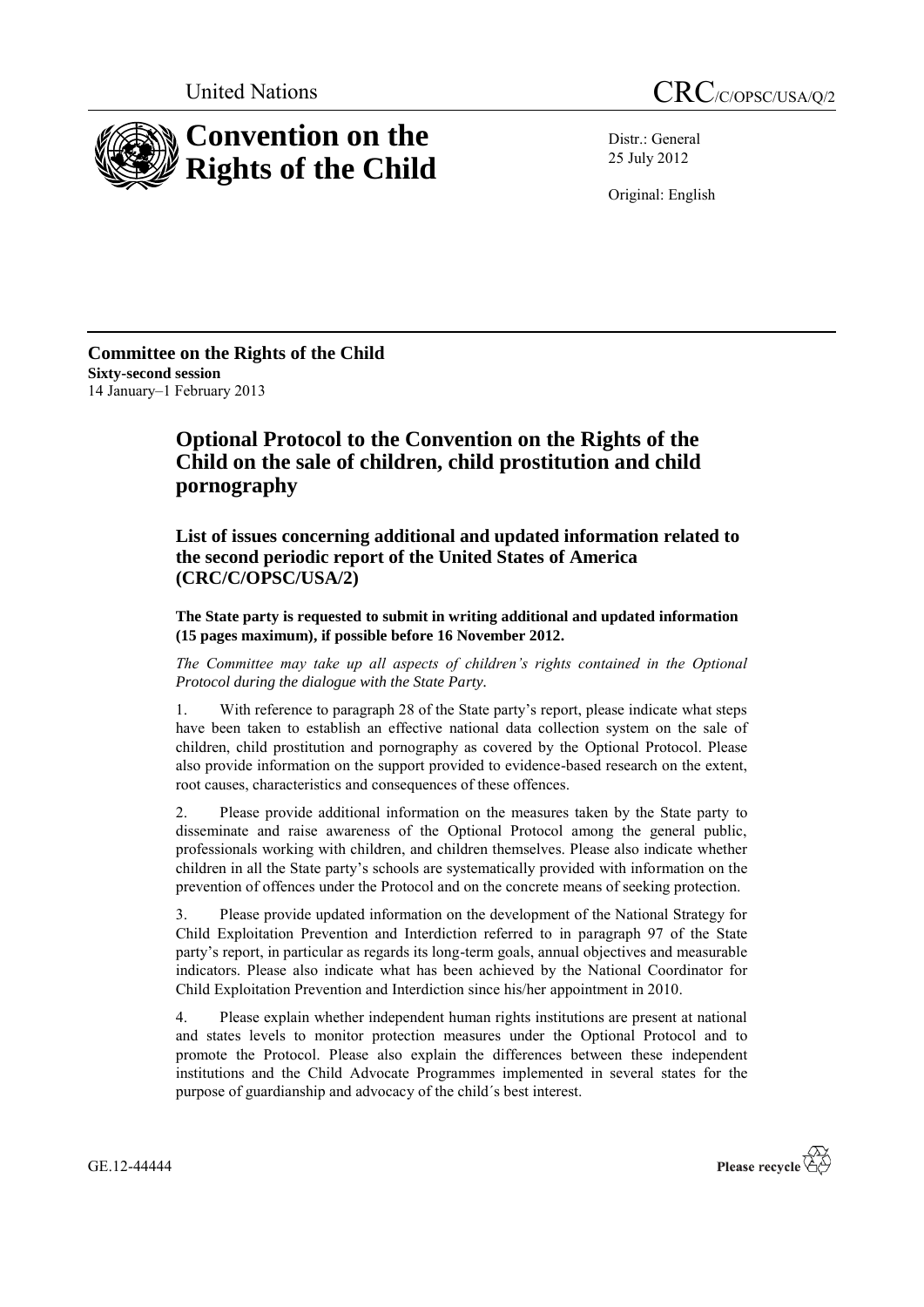

Distr.: General 25 July 2012

Original: English

**Committee on the Rights of the Child Sixty-second session** 14 January–1 February 2013

## **Optional Protocol to the Convention on the Rights of the Child on the sale of children, child prostitution and child pornography**

**List of issues concerning additional and updated information related to the second periodic report of the United States of America (CRC/C/OPSC/USA/2)**

**The State party is requested to submit in writing additional and updated information (15 pages maximum), if possible before 16 November 2012.**

*The Committee may take up all aspects of children's rights contained in the Optional Protocol during the dialogue with the State Party.* 

1. With reference to paragraph 28 of the State party's report, please indicate what steps have been taken to establish an effective national data collection system on the sale of children, child prostitution and pornography as covered by the Optional Protocol. Please also provide information on the support provided to evidence-based research on the extent, root causes, characteristics and consequences of these offences.

2. Please provide additional information on the measures taken by the State party to disseminate and raise awareness of the Optional Protocol among the general public, professionals working with children, and children themselves. Please also indicate whether children in all the State party's schools are systematically provided with information on the prevention of offences under the Protocol and on the concrete means of seeking protection.

3. Please provide updated information on the development of the National Strategy for Child Exploitation Prevention and Interdiction referred to in paragraph 97 of the State party's report, in particular as regards its long-term goals, annual objectives and measurable indicators. Please also indicate what has been achieved by the National Coordinator for Child Exploitation Prevention and Interdiction since his/her appointment in 2010.

4. Please explain whether independent human rights institutions are present at national and states levels to monitor protection measures under the Optional Protocol and to promote the Protocol. Please also explain the differences between these independent institutions and the Child Advocate Programmes implemented in several states for the purpose of guardianship and advocacy of the child´s best interest.

GE.12-44444

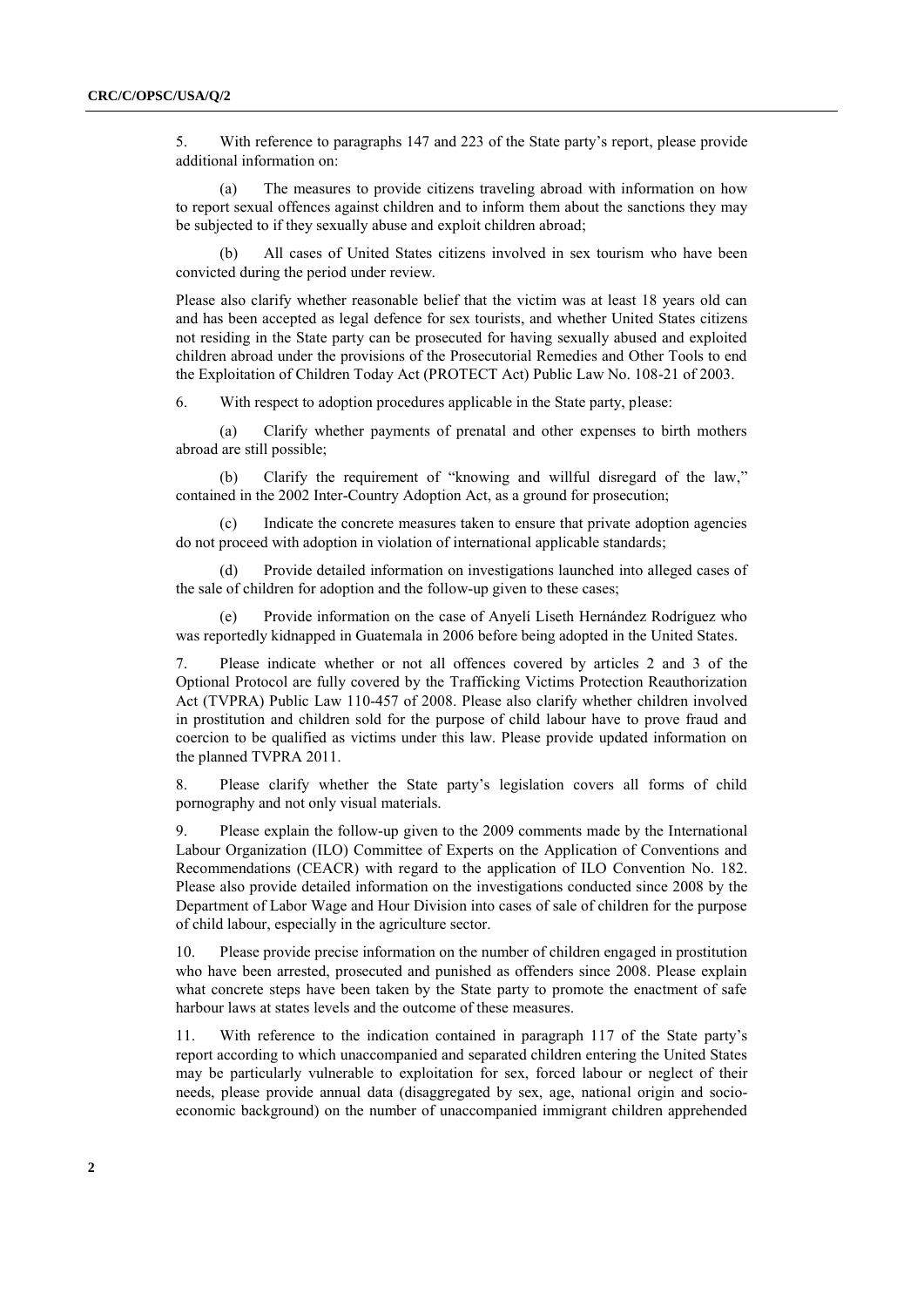5. With reference to paragraphs 147 and 223 of the State party's report, please provide additional information on:

(a) The measures to provide citizens traveling abroad with information on how to report sexual offences against children and to inform them about the sanctions they may be subjected to if they sexually abuse and exploit children abroad;

(b) All cases of United States citizens involved in sex tourism who have been convicted during the period under review.

Please also clarify whether reasonable belief that the victim was at least 18 years old can and has been accepted as legal defence for sex tourists, and whether United States citizens not residing in the State party can be prosecuted for having sexually abused and exploited children abroad under the provisions of the Prosecutorial Remedies and Other Tools to end the Exploitation of Children Today Act (PROTECT Act) Public Law No. 108-21 of 2003.

6. With respect to adoption procedures applicable in the State party, please:

(a) Clarify whether payments of prenatal and other expenses to birth mothers abroad are still possible;

(b) Clarify the requirement of "knowing and willful disregard of the law," contained in the 2002 Inter-Country Adoption Act, as a ground for prosecution;

(c) Indicate the concrete measures taken to ensure that private adoption agencies do not proceed with adoption in violation of international applicable standards;

(d) Provide detailed information on investigations launched into alleged cases of the sale of children for adoption and the follow-up given to these cases;

(e) Provide information on the case of Anyelí Liseth Hernández Rodríguez who was reportedly kidnapped in Guatemala in 2006 before being adopted in the United States.

7. Please indicate whether or not all offences covered by articles 2 and 3 of the Optional Protocol are fully covered by the Trafficking Victims Protection Reauthorization Act (TVPRA) Public Law 110-457 of 2008. Please also clarify whether children involved in prostitution and children sold for the purpose of child labour have to prove fraud and coercion to be qualified as victims under this law. Please provide updated information on the planned TVPRA 2011.

8. Please clarify whether the State party's legislation covers all forms of child pornography and not only visual materials.

9. Please explain the follow-up given to the 2009 comments made by the International Labour Organization (ILO) Committee of Experts on the Application of Conventions and Recommendations (CEACR) with regard to the application of ILO Convention No. 182. Please also provide detailed information on the investigations conducted since 2008 by the Department of Labor Wage and Hour Division into cases of sale of children for the purpose of child labour, especially in the agriculture sector.

10. Please provide precise information on the number of children engaged in prostitution who have been arrested, prosecuted and punished as offenders since 2008. Please explain what concrete steps have been taken by the State party to promote the enactment of safe harbour laws at states levels and the outcome of these measures.

11. With reference to the indication contained in paragraph 117 of the State party's report according to which unaccompanied and separated children entering the United States may be particularly vulnerable to exploitation for sex, forced labour or neglect of their needs, please provide annual data (disaggregated by sex, age, national origin and socioeconomic background) on the number of unaccompanied immigrant children apprehended